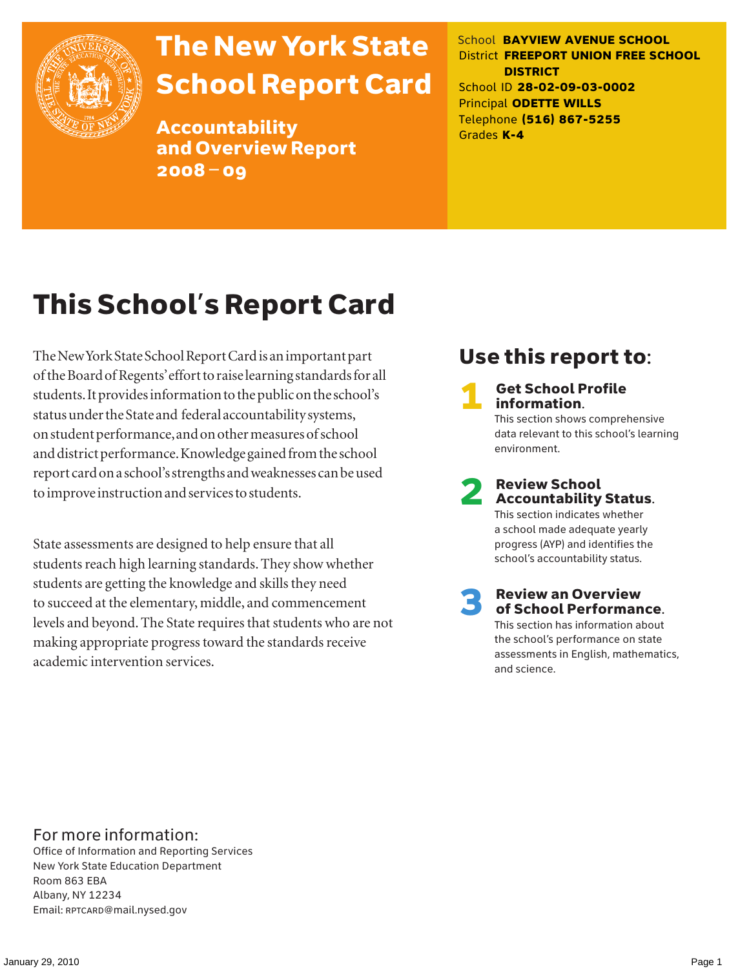

# The New York State School Report Card

Accountability and Overview Report 2008–09

School **BAYVIEW AVENUE SCHOOL** District **FREEPORT UNION FREE SCHOOL DISTRICT** School ID **28-02-09-03-0002** Principal **ODETTE WILLS** Telephone **(516) 867-5255** Grades **K-4**

# This School's Report Card

The New York State School Report Card is an important part of the Board of Regents' effort to raise learning standards for all students. It provides information to the public on the school's status under the State and federal accountability systems, on student performance, and on other measures of school and district performance. Knowledge gained from the school report card on a school's strengths and weaknesses can be used to improve instruction and services to students.

State assessments are designed to help ensure that all students reach high learning standards. They show whether students are getting the knowledge and skills they need to succeed at the elementary, middle, and commencement levels and beyond. The State requires that students who are not making appropriate progress toward the standards receive academic intervention services.

# Use this report to:

**Get School Profile** information. This section shows comprehensive data relevant to this school's learning environment.

# 2 Review School Accountability Status.

This section indicates whether a school made adequate yearly progress (AYP) and identifies the school's accountability status.

3 Review an Overview of School Performance. This section has information about

the school's performance on state assessments in English, mathematics, and science.

### For more information:

Office of Information and Reporting Services New York State Education Department Room 863 EBA Albany, NY 12234 Email: RPTCARD@mail.nysed.gov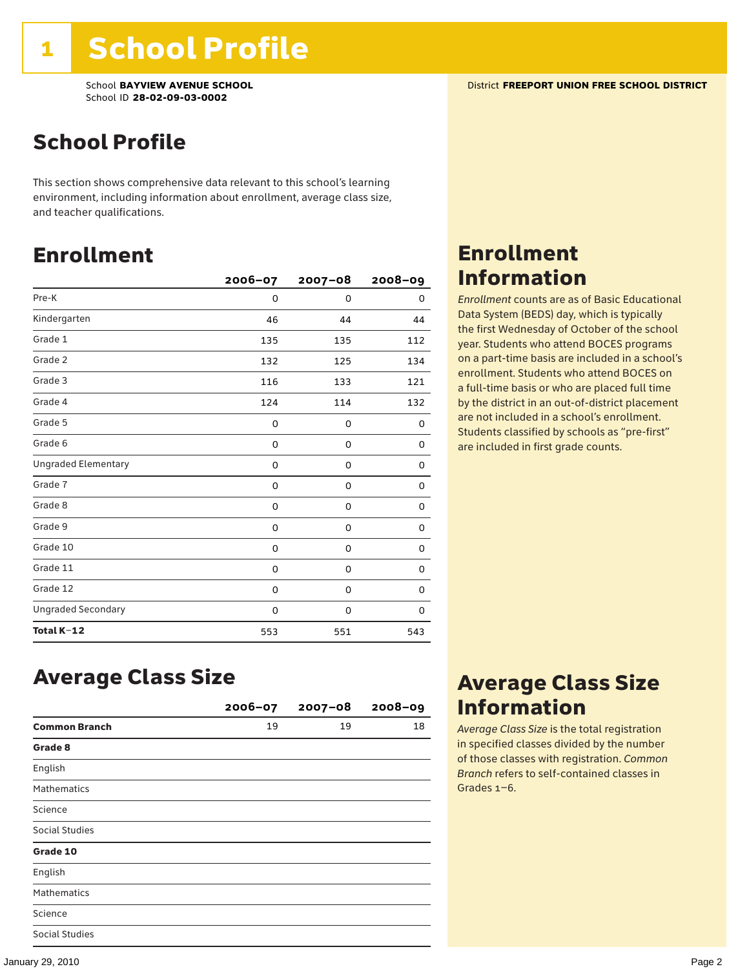School **BAYVIEW AVENUE SCHOOL** District **FREEPORT UNION FREE SCHOOL DISTRICT** School ID **28-02-09-03-0002**

# School Profile

This section shows comprehensive data relevant to this school's learning environment, including information about enrollment, average class size, and teacher qualifications.

### Enrollment

|                            | $2006 - 07$ | $2007 - 08$ | $2008 - 09$ |
|----------------------------|-------------|-------------|-------------|
| Pre-K                      | 0           | $\Omega$    | 0           |
| Kindergarten               | 46          | 44          | 44          |
| Grade 1                    | 135         | 135         | 112         |
| Grade 2                    | 132         | 125         | 134         |
| Grade 3                    | 116         | 133         | 121         |
| Grade 4                    | 124         | 114         | 132         |
| Grade 5                    | 0           | 0           | 0           |
| Grade 6                    | 0           | 0           | 0           |
| <b>Ungraded Elementary</b> | 0           | 0           | 0           |
| Grade 7                    | 0           | 0           | 0           |
| Grade 8                    | 0           | 0           | 0           |
| Grade 9                    | 0           | 0           | 0           |
| Grade 10                   | 0           | 0           | 0           |
| Grade 11                   | 0           | 0           | 0           |
| Grade 12                   | 0           | 0           | 0           |
| <b>Ungraded Secondary</b>  | 0           | 0           | 0           |
| Total K-12                 | 553         | 551         | 543         |

### Enrollment Information

*Enrollment* counts are as of Basic Educational Data System (BEDS) day, which is typically the first Wednesday of October of the school year. Students who attend BOCES programs on a part-time basis are included in a school's enrollment. Students who attend BOCES on a full-time basis or who are placed full time by the district in an out-of-district placement are not included in a school's enrollment. Students classified by schools as "pre-first" are included in first grade counts.

### Average Class Size

|                      | $2006 - 07$ | $2007 - 08$ | $2008 - 09$ |
|----------------------|-------------|-------------|-------------|
| <b>Common Branch</b> | 19          | 19          | 18          |
| Grade 8              |             |             |             |
| English              |             |             |             |
| <b>Mathematics</b>   |             |             |             |
| Science              |             |             |             |
| Social Studies       |             |             |             |
| Grade 10             |             |             |             |
| English              |             |             |             |
| <b>Mathematics</b>   |             |             |             |
| Science              |             |             |             |
| Social Studies       |             |             |             |

### Average Class Size Information

*Average Class Size* is the total registration in specified classes divided by the number of those classes with registration. *Common Branch* refers to self-contained classes in Grades 1–6.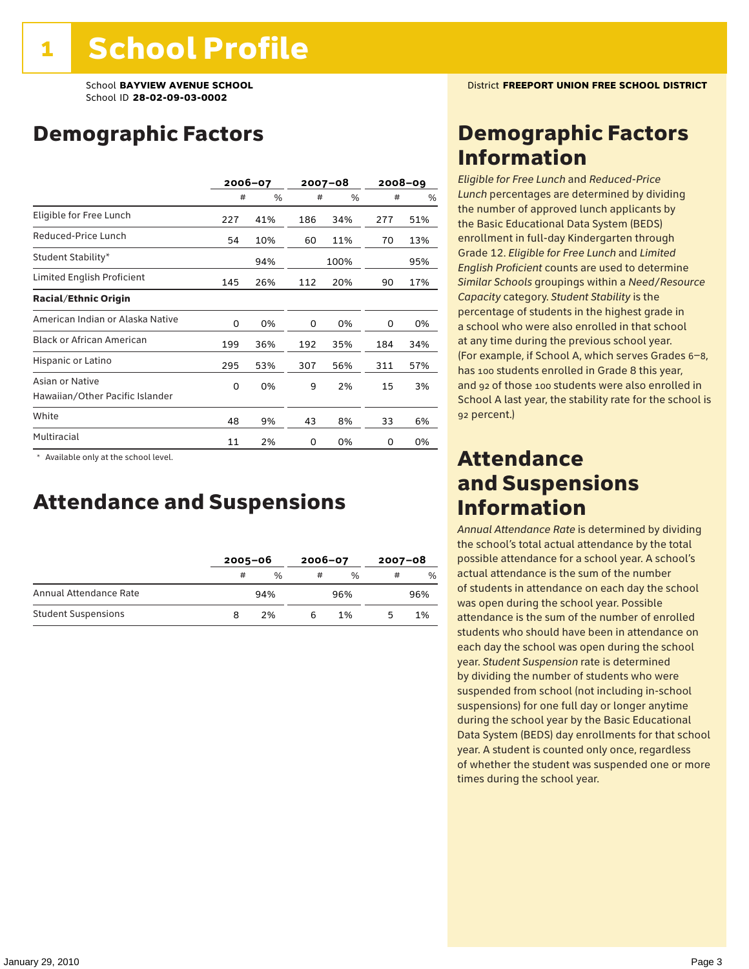## Demographic Factors

|                                                    | 2006-07 |     |     | $2007 - 08$ |     | 2008–09 |
|----------------------------------------------------|---------|-----|-----|-------------|-----|---------|
|                                                    | #       | %   | #   | %           | #   | %       |
| Eligible for Free Lunch                            | 227     | 41% | 186 | 34%         | 277 | 51%     |
| Reduced-Price Lunch                                | 54      | 10% | 60  | 11%         | 70  | 13%     |
| Student Stability*                                 |         | 94% |     | 100%        |     | 95%     |
| Limited English Proficient                         | 145     | 26% | 112 | 20%         | 90  | 17%     |
| <b>Racial/Ethnic Origin</b>                        |         |     |     |             |     |         |
| American Indian or Alaska Native                   | 0       | 0%  | 0   | 0%          | 0   | 0%      |
| <b>Black or African American</b>                   | 199     | 36% | 192 | 35%         | 184 | 34%     |
| Hispanic or Latino                                 | 295     | 53% | 307 | 56%         | 311 | 57%     |
| Asian or Native<br>Hawaiian/Other Pacific Islander | 0       | 0%  | 9   | 2%          | 15  | 3%      |
| White                                              | 48      | 9%  | 43  | 8%          | 33  | 6%      |
| Multiracial                                        | 11      | 2%  | 0   | 0%          | 0   | 0%      |

\* Available only at the school level.

### Attendance and Suspensions

|                            |   | $2005 - 06$   |   | $2006 - 07$   |   | $2007 - 08$ |  |
|----------------------------|---|---------------|---|---------------|---|-------------|--|
|                            | # | $\frac{0}{0}$ | # | $\frac{0}{6}$ | # | $\%$        |  |
| Annual Attendance Rate     |   | 94%           |   | 96%           |   | 96%         |  |
| <b>Student Suspensions</b> |   | 2%            |   | 1%            |   | 1%          |  |

# Demographic Factors Information

*Eligible for Free Lunch* and *Reduced*-*Price Lunch* percentages are determined by dividing the number of approved lunch applicants by the Basic Educational Data System (BEDS) enrollment in full-day Kindergarten through Grade 12. *Eligible for Free Lunch* and *Limited English Proficient* counts are used to determine *Similar Schools* groupings within a *Need*/*Resource Capacity* category. *Student Stability* is the percentage of students in the highest grade in a school who were also enrolled in that school at any time during the previous school year. (For example, if School A, which serves Grades 6–8, has 100 students enrolled in Grade 8 this year, and 92 of those 100 students were also enrolled in School A last year, the stability rate for the school is 92 percent.)

### Attendance and Suspensions Information

*Annual Attendance Rate* is determined by dividing the school's total actual attendance by the total possible attendance for a school year. A school's actual attendance is the sum of the number of students in attendance on each day the school was open during the school year. Possible attendance is the sum of the number of enrolled students who should have been in attendance on each day the school was open during the school year. *Student Suspension* rate is determined by dividing the number of students who were suspended from school (not including in-school suspensions) for one full day or longer anytime during the school year by the Basic Educational Data System (BEDS) day enrollments for that school year. A student is counted only once, regardless of whether the student was suspended one or more times during the school year.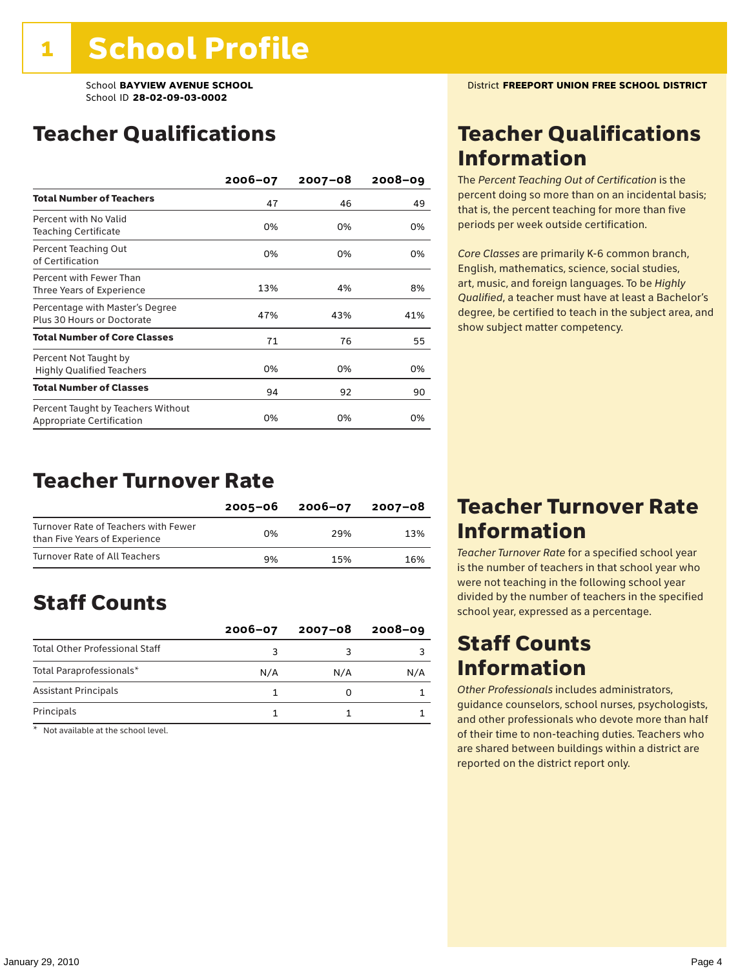## Teacher Qualifications

|                                                                 | $2006 - 07$ | $2007 - 08$ | $2008 - 09$ |
|-----------------------------------------------------------------|-------------|-------------|-------------|
| <b>Total Number of Teachers</b>                                 | 47          | 46          | 49          |
| Percent with No Valid<br><b>Teaching Certificate</b>            | 0%          | 0%          | 0%          |
| Percent Teaching Out<br>of Certification                        | 0%          | 0%          | 0%          |
| Percent with Fewer Than<br>Three Years of Experience            | 13%         | 4%          | 8%          |
| Percentage with Master's Degree<br>Plus 30 Hours or Doctorate   | 47%         | 43%         | 41%         |
| <b>Total Number of Core Classes</b>                             | 71          | 76          | 55          |
| Percent Not Taught by<br><b>Highly Qualified Teachers</b>       | 0%          | 0%          | 0%          |
| <b>Total Number of Classes</b>                                  | 94          | 92          | 90          |
| Percent Taught by Teachers Without<br>Appropriate Certification | 0%          | 0%          | 0%          |

### Teacher Turnover Rate

|                                                                       | 2005-06 | 2006-07 | 2007-08 |
|-----------------------------------------------------------------------|---------|---------|---------|
| Turnover Rate of Teachers with Fewer<br>than Five Years of Experience | በ%      | 29%     | 13%     |
| Turnover Rate of All Teachers                                         | 9%      | 15%     | 16%     |

# Staff Counts

|                                       | $2006 - 07$ | $2007 - 08$ | $2008 - 09$ |
|---------------------------------------|-------------|-------------|-------------|
| <b>Total Other Professional Staff</b> |             |             |             |
| Total Paraprofessionals*              | N/A         | N/A         | N/A         |
| <b>Assistant Principals</b>           |             |             |             |
| Principals                            |             |             |             |

\* Not available at the school level.

## Teacher Qualifications Information

The *Percent Teaching Out of Certification* is the percent doing so more than on an incidental basis; that is, the percent teaching for more than five periods per week outside certification.

*Core Classes* are primarily K-6 common branch, English, mathematics, science, social studies, art, music, and foreign languages. To be *Highly Qualified*, a teacher must have at least a Bachelor's degree, be certified to teach in the subject area, and show subject matter competency.

### Teacher Turnover Rate Information

*Teacher Turnover Rate* for a specified school year is the number of teachers in that school year who were not teaching in the following school year divided by the number of teachers in the specified school year, expressed as a percentage.

### Staff Counts **Information**

*Other Professionals* includes administrators, guidance counselors, school nurses, psychologists, and other professionals who devote more than half of their time to non-teaching duties. Teachers who are shared between buildings within a district are reported on the district report only.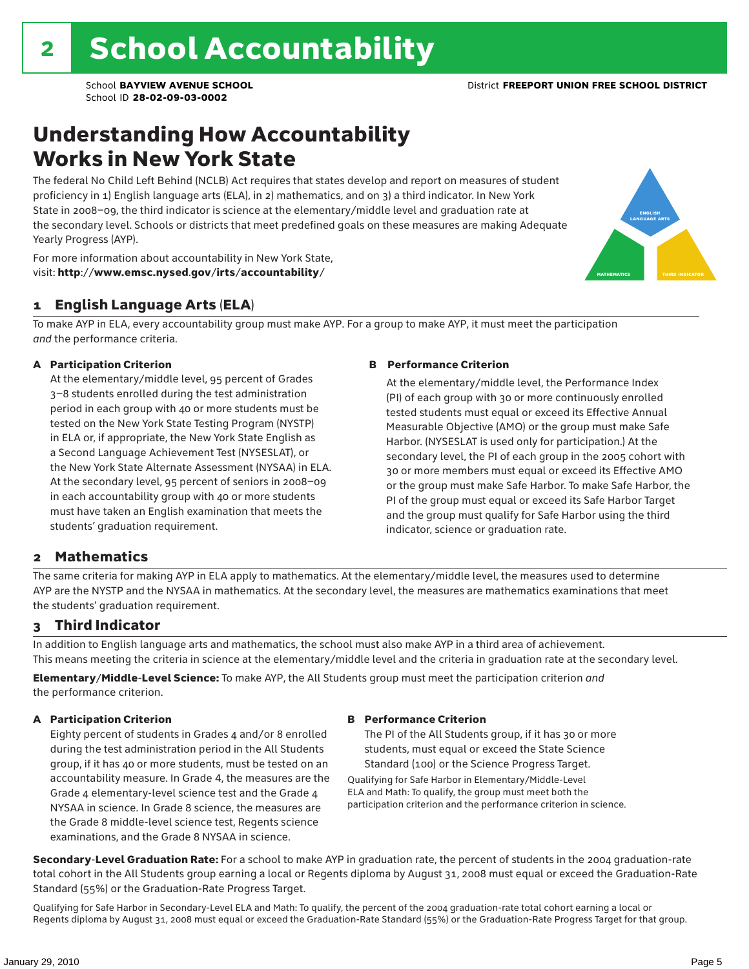### Understanding How Accountability Works in New York State

The federal No Child Left Behind (NCLB) Act requires that states develop and report on measures of student proficiency in 1) English language arts (ELA), in 2) mathematics, and on 3) a third indicator. In New York State in 2008–09, the third indicator is science at the elementary/middle level and graduation rate at the secondary level. Schools or districts that meet predefined goals on these measures are making Adequate Yearly Progress (AYP).



For more information about accountability in New York State, visit: http://www.emsc.nysed.gov/irts/accountability/

### 1 English Language Arts (ELA)

To make AYP in ELA, every accountability group must make AYP. For a group to make AYP, it must meet the participation *and* the performance criteria.

#### A Participation Criterion

At the elementary/middle level, 95 percent of Grades 3–8 students enrolled during the test administration period in each group with 40 or more students must be tested on the New York State Testing Program (NYSTP) in ELA or, if appropriate, the New York State English as a Second Language Achievement Test (NYSESLAT), or the New York State Alternate Assessment (NYSAA) in ELA. At the secondary level, 95 percent of seniors in 2008–09 in each accountability group with 40 or more students must have taken an English examination that meets the students' graduation requirement.

#### B Performance Criterion

At the elementary/middle level, the Performance Index (PI) of each group with 30 or more continuously enrolled tested students must equal or exceed its Effective Annual Measurable Objective (AMO) or the group must make Safe Harbor. (NYSESLAT is used only for participation.) At the secondary level, the PI of each group in the 2005 cohort with 30 or more members must equal or exceed its Effective AMO or the group must make Safe Harbor. To make Safe Harbor, the PI of the group must equal or exceed its Safe Harbor Target and the group must qualify for Safe Harbor using the third indicator, science or graduation rate.

### 2 Mathematics

The same criteria for making AYP in ELA apply to mathematics. At the elementary/middle level, the measures used to determine AYP are the NYSTP and the NYSAA in mathematics. At the secondary level, the measures are mathematics examinations that meet the students' graduation requirement.

### 3 Third Indicator

In addition to English language arts and mathematics, the school must also make AYP in a third area of achievement. This means meeting the criteria in science at the elementary/middle level and the criteria in graduation rate at the secondary level.

Elementary/Middle-Level Science: To make AYP, the All Students group must meet the participation criterion *and* the performance criterion.

#### A Participation Criterion

Eighty percent of students in Grades 4 and/or 8 enrolled during the test administration period in the All Students group, if it has 40 or more students, must be tested on an accountability measure. In Grade 4, the measures are the Grade 4 elementary-level science test and the Grade 4 NYSAA in science. In Grade 8 science, the measures are the Grade 8 middle-level science test, Regents science examinations, and the Grade 8 NYSAA in science.

#### B Performance Criterion

The PI of the All Students group, if it has 30 or more students, must equal or exceed the State Science Standard (100) or the Science Progress Target.

Qualifying for Safe Harbor in Elementary/Middle-Level ELA and Math: To qualify, the group must meet both the participation criterion and the performance criterion in science.

Secondary-Level Graduation Rate: For a school to make AYP in graduation rate, the percent of students in the 2004 graduation-rate total cohort in the All Students group earning a local or Regents diploma by August 31, 2008 must equal or exceed the Graduation-Rate Standard (55%) or the Graduation-Rate Progress Target.

Qualifying for Safe Harbor in Secondary-Level ELA and Math: To qualify, the percent of the 2004 graduation-rate total cohort earning a local or Regents diploma by August 31, 2008 must equal or exceed the Graduation-Rate Standard (55%) or the Graduation-Rate Progress Target for that group.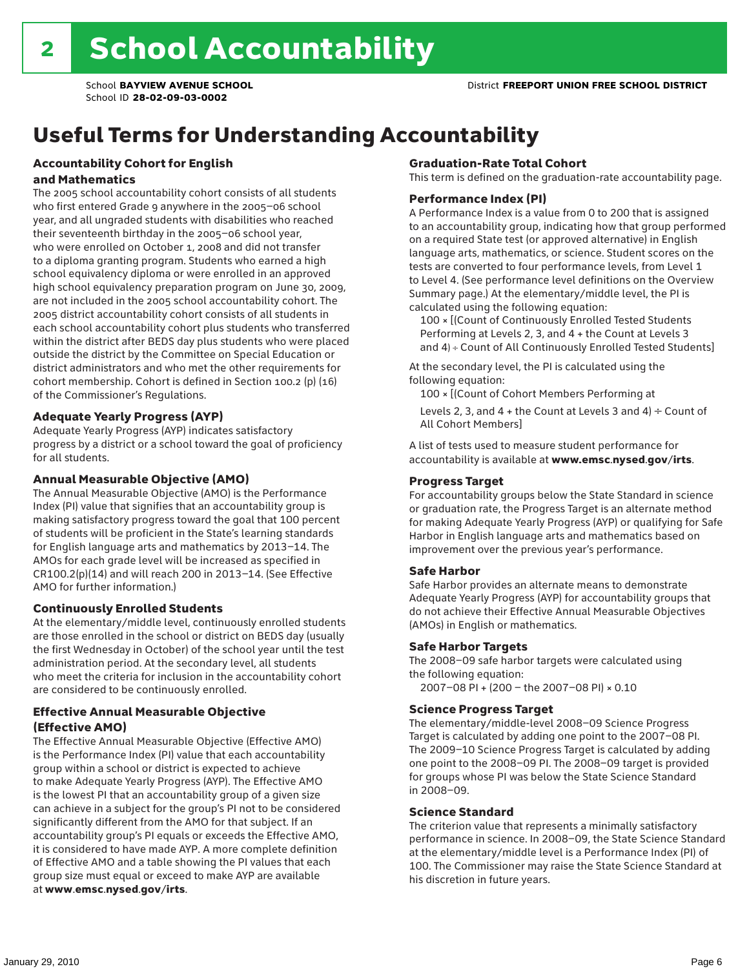# Useful Terms for Understanding Accountability

#### Accountability Cohort for English and Mathematics

The 2005 school accountability cohort consists of all students who first entered Grade 9 anywhere in the 2005–06 school year, and all ungraded students with disabilities who reached their seventeenth birthday in the 2005–06 school year, who were enrolled on October 1, 2008 and did not transfer to a diploma granting program. Students who earned a high school equivalency diploma or were enrolled in an approved high school equivalency preparation program on June 30, 2009, are not included in the 2005 school accountability cohort. The 2005 district accountability cohort consists of all students in each school accountability cohort plus students who transferred within the district after BEDS day plus students who were placed outside the district by the Committee on Special Education or district administrators and who met the other requirements for cohort membership. Cohort is defined in Section 100.2 (p) (16) of the Commissioner's Regulations.

#### Adequate Yearly Progress (AYP)

Adequate Yearly Progress (AYP) indicates satisfactory progress by a district or a school toward the goal of proficiency for all students.

#### Annual Measurable Objective (AMO)

The Annual Measurable Objective (AMO) is the Performance Index (PI) value that signifies that an accountability group is making satisfactory progress toward the goal that 100 percent of students will be proficient in the State's learning standards for English language arts and mathematics by 2013–14. The AMOs for each grade level will be increased as specified in CR100.2(p)(14) and will reach 200 in 2013–14. (See Effective AMO for further information.)

#### Continuously Enrolled Students

At the elementary/middle level, continuously enrolled students are those enrolled in the school or district on BEDS day (usually the first Wednesday in October) of the school year until the test administration period. At the secondary level, all students who meet the criteria for inclusion in the accountability cohort are considered to be continuously enrolled.

#### Effective Annual Measurable Objective (Effective AMO)

The Effective Annual Measurable Objective (Effective AMO) is the Performance Index (PI) value that each accountability group within a school or district is expected to achieve to make Adequate Yearly Progress (AYP). The Effective AMO is the lowest PI that an accountability group of a given size can achieve in a subject for the group's PI not to be considered significantly different from the AMO for that subject. If an accountability group's PI equals or exceeds the Effective AMO, it is considered to have made AYP. A more complete definition of Effective AMO and a table showing the PI values that each group size must equal or exceed to make AYP are available at www.emsc.nysed.gov/irts.

#### Graduation-Rate Total Cohort

This term is defined on the graduation-rate accountability page.

#### Performance Index (PI)

A Performance Index is a value from 0 to 200 that is assigned to an accountability group, indicating how that group performed on a required State test (or approved alternative) in English language arts, mathematics, or science. Student scores on the tests are converted to four performance levels, from Level 1 to Level 4. (See performance level definitions on the Overview Summary page.) At the elementary/middle level, the PI is calculated using the following equation:

100 × [(Count of Continuously Enrolled Tested Students Performing at Levels 2, 3, and 4 + the Count at Levels 3 and 4) ÷ Count of All Continuously Enrolled Tested Students]

At the secondary level, the PI is calculated using the following equation:

100 × [(Count of Cohort Members Performing at

Levels 2, 3, and 4 + the Count at Levels 3 and 4)  $\div$  Count of All Cohort Members]

A list of tests used to measure student performance for accountability is available at www.emsc.nysed.gov/irts.

#### Progress Target

For accountability groups below the State Standard in science or graduation rate, the Progress Target is an alternate method for making Adequate Yearly Progress (AYP) or qualifying for Safe Harbor in English language arts and mathematics based on improvement over the previous year's performance.

#### Safe Harbor

Safe Harbor provides an alternate means to demonstrate Adequate Yearly Progress (AYP) for accountability groups that do not achieve their Effective Annual Measurable Objectives (AMOs) in English or mathematics.

#### Safe Harbor Targets

The 2008–09 safe harbor targets were calculated using the following equation:

2007–08 PI + (200 – the 2007–08 PI) × 0.10

#### Science Progress Target

The elementary/middle-level 2008–09 Science Progress Target is calculated by adding one point to the 2007–08 PI. The 2009–10 Science Progress Target is calculated by adding one point to the 2008–09 PI. The 2008–09 target is provided for groups whose PI was below the State Science Standard in 2008–09.

#### Science Standard

The criterion value that represents a minimally satisfactory performance in science. In 2008–09, the State Science Standard at the elementary/middle level is a Performance Index (PI) of 100. The Commissioner may raise the State Science Standard at his discretion in future years.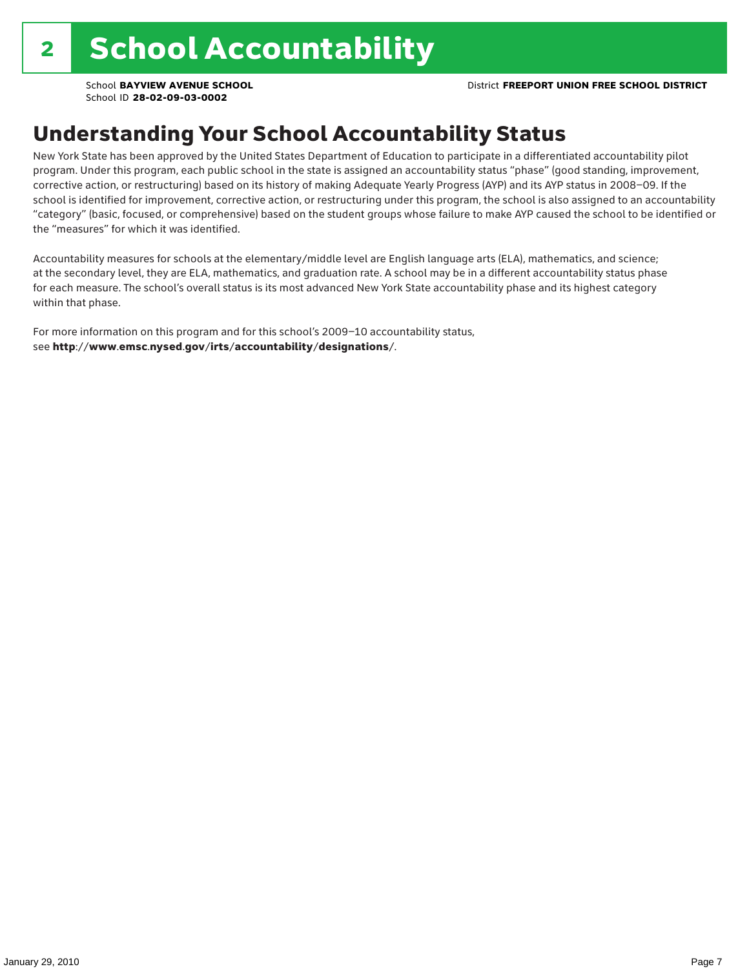# Understanding Your School Accountability Status

New York State has been approved by the United States Department of Education to participate in a differentiated accountability pilot program. Under this program, each public school in the state is assigned an accountability status "phase" (good standing, improvement, corrective action, or restructuring) based on its history of making Adequate Yearly Progress (AYP) and its AYP status in 2008–09. If the school is identified for improvement, corrective action, or restructuring under this program, the school is also assigned to an accountability "category" (basic, focused, or comprehensive) based on the student groups whose failure to make AYP caused the school to be identified or the "measures" for which it was identified.

Accountability measures for schools at the elementary/middle level are English language arts (ELA), mathematics, and science; at the secondary level, they are ELA, mathematics, and graduation rate. A school may be in a different accountability status phase for each measure. The school's overall status is its most advanced New York State accountability phase and its highest category within that phase.

For more information on this program and for this school's 2009–10 accountability status, see http://www.emsc.nysed.gov/irts/accountability/designations/.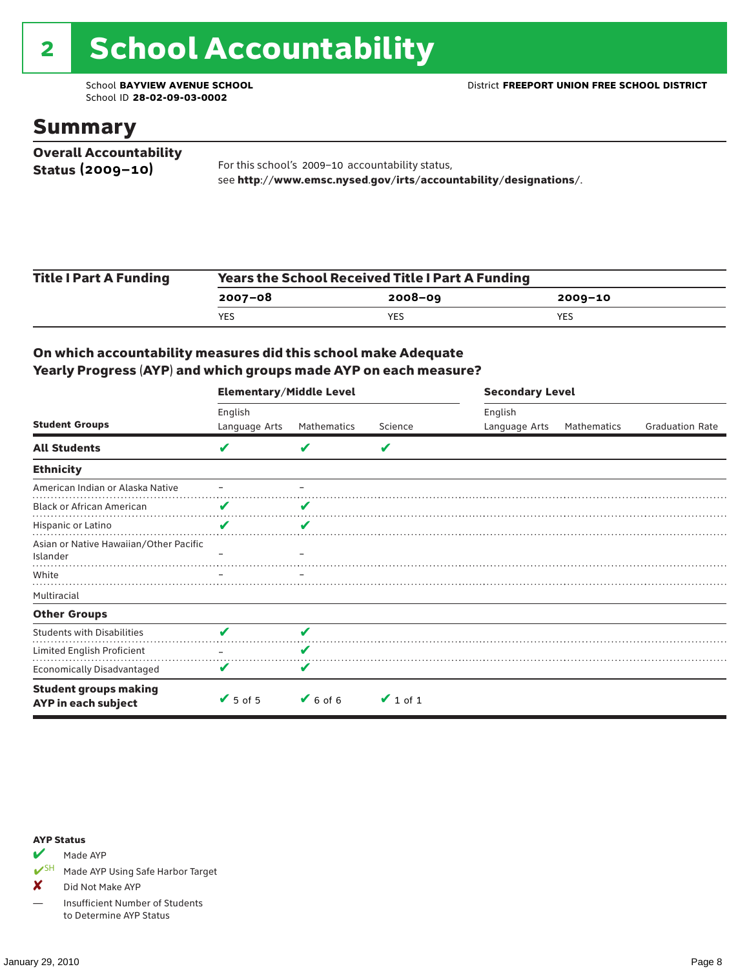# 2 School Accountability

School ID **28-02-09-03-0002**

### Summary

| <b>Overall Accountability</b> |                                                                  |
|-------------------------------|------------------------------------------------------------------|
| Status $(2009 - 10)$          | For this school's 2009-10 accountability status,                 |
|                               | see http://www.emsc.nysed.gov/irts/accountability/designations/. |

| <b>Title I Part A Funding</b> | <b>Years the School Received Title I Part A Funding</b> |             |            |  |  |  |
|-------------------------------|---------------------------------------------------------|-------------|------------|--|--|--|
|                               | 2007-08                                                 | $2008 - 09$ | 2009-10    |  |  |  |
|                               | YES                                                     | <b>YES</b>  | <b>YES</b> |  |  |  |

### On which accountability measures did this school make Adequate Yearly Progress (AYP) and which groups made AYP on each measure?

|                                                     | <b>Elementary/Middle Level</b> |                              |               | <b>Secondary Level</b> |             |                        |  |
|-----------------------------------------------------|--------------------------------|------------------------------|---------------|------------------------|-------------|------------------------|--|
|                                                     | English                        |                              |               | English                |             |                        |  |
| <b>Student Groups</b>                               | Language Arts                  | Mathematics                  | Science       | Language Arts          | Mathematics | <b>Graduation Rate</b> |  |
| <b>All Students</b>                                 | V                              |                              | V             |                        |             |                        |  |
| <b>Ethnicity</b>                                    |                                |                              |               |                        |             |                        |  |
| American Indian or Alaska Native                    |                                |                              |               |                        |             |                        |  |
| <b>Black or African American</b>                    | V                              |                              |               |                        |             |                        |  |
| Hispanic or Latino                                  | V                              | V                            |               |                        |             |                        |  |
| Asian or Native Hawaiian/Other Pacific<br>Islander  |                                |                              |               |                        |             |                        |  |
| White                                               |                                |                              |               |                        |             |                        |  |
| Multiracial                                         |                                |                              |               |                        |             |                        |  |
| <b>Other Groups</b>                                 |                                |                              |               |                        |             |                        |  |
| <b>Students with Disabilities</b>                   | v                              | V                            |               |                        |             |                        |  |
| Limited English Proficient                          |                                |                              |               |                        |             |                        |  |
| Economically Disadvantaged                          | V                              | V                            |               |                        |             |                        |  |
| <b>Student groups making</b><br>AYP in each subject | $\blacktriangleright$ 5 of 5   | $\blacktriangleright$ 6 of 6 | $\vee$ 1 of 1 |                        |             |                        |  |

#### AYP Status

Made AYP

✔SH Made AYP Using Safe Harbor Target

✘ Did Not Make AYP

— Insufficient Number of Students to Determine AYP Status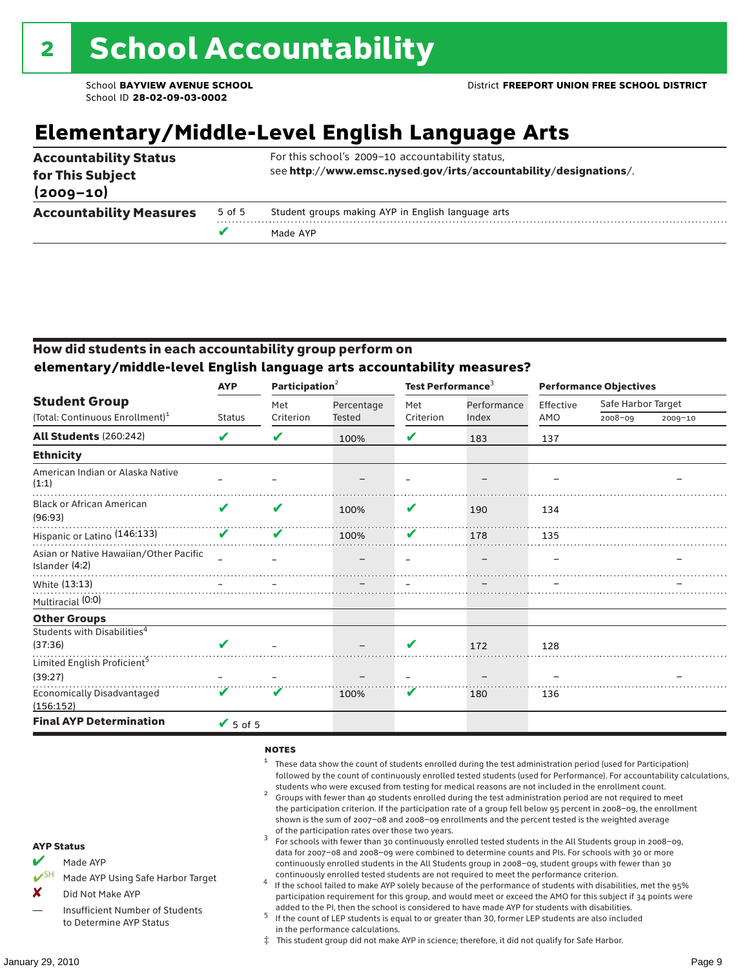# **Elementary/Middle-Level English Language Arts**

|                                   |        | Made AYP                                                         |  |  |  |  |
|-----------------------------------|--------|------------------------------------------------------------------|--|--|--|--|
| <b>Accountability Measures</b>    | 5 of 5 | Student groups making AYP in English language arts               |  |  |  |  |
| for This Subject<br>$(2009 - 10)$ |        | see http://www.emsc.nysed.gov/irts/accountability/designations/. |  |  |  |  |
| <b>Accountability Status</b>      |        | For this school's 2009-10 accountability status,                 |  |  |  |  |

### How did students in each accountability group perform on **elementary/middle-level English language arts accountability measures?**

| <b>AYP</b>      |               |            |                                             |             |                                        | <b>Performance Objectives</b> |         |
|-----------------|---------------|------------|---------------------------------------------|-------------|----------------------------------------|-------------------------------|---------|
|                 | Met           | Percentage | Met                                         | Performance | Effective                              | Safe Harbor Target            |         |
|                 |               |            |                                             |             |                                        |                               | 2009-10 |
| V               | V             | 100%       | V                                           | 183         | 137                                    |                               |         |
|                 |               |            |                                             |             |                                        |                               |         |
|                 |               |            |                                             |             |                                        |                               |         |
| ✔               | V             | 100%       | V                                           | 190         | 134                                    |                               |         |
| V               | V             | 100%       | V                                           | 178         | 135                                    |                               |         |
|                 |               |            |                                             |             |                                        |                               |         |
|                 |               |            |                                             |             |                                        |                               |         |
|                 |               |            |                                             |             |                                        |                               |         |
|                 |               |            |                                             |             |                                        |                               |         |
|                 |               |            |                                             |             |                                        |                               |         |
| $\mathbf{v}$    |               |            | V                                           | 172         | 128                                    |                               |         |
|                 |               |            |                                             |             |                                        |                               |         |
|                 |               |            |                                             |             |                                        |                               |         |
| V               | V             | 100%       | V                                           | 180         | 136                                    |                               |         |
| $\sqrt{5}$ of 5 |               |            |                                             |             |                                        |                               |         |
|                 | <b>Status</b> | Criterion  | Participation <sup>2</sup><br><b>Tested</b> | Criterion   | Test Performance <sup>3</sup><br>Index | AMO                           | 2008-09 |

#### **NOTES**

- <sup>1</sup> These data show the count of students enrolled during the test administration period (used for Participation) followed by the count of continuously enrolled tested students (used for Performance). For accountability calculations,
- students who were excused from testing for medical reasons are not included in the enrollment count. <sup>2</sup> Groups with fewer than 40 students enrolled during the test administration period are not required to meet the participation criterion. If the participation rate of a group fell below 95 percent in 2008–09, the enrollment shown is the sum of 2007–08 and 2008–09 enrollments and the percent tested is the weighted average
- of the participation rates over those two years.<br><sup>3</sup> For schools with fewer than 30 continuously enrolled tested students in the All Students group in 2008–09, data for 2007–08 and 2008–09 were combined to determine counts and PIs. For schools with 30 or more continuously enrolled students in the All Students group in 2008–09, student groups with fewer than 30
- continuously enrolled tested students are not required to meet the performance criterion. <sup>4</sup> If the school failed to make AYP solely because of the performance of students with disabilities, met the 95% participation requirement for this group, and would meet or exceed the AMO for this subject if 34 points were added to the PI, then the school is considered to have made AYP for students with disabilities.
- $5$  If the count of LEP students is equal to or greater than 30, former LEP students are also included in the performance calculations.
- ‡ This student group did not make AYP in science; therefore, it did not qualify for Safe Harbor.
- $M$  Made AYP
	- Made AYP Using Safe Harbor Target
- X Did Not Make AYP
- Insufficient Number of Students to Determine AYP Status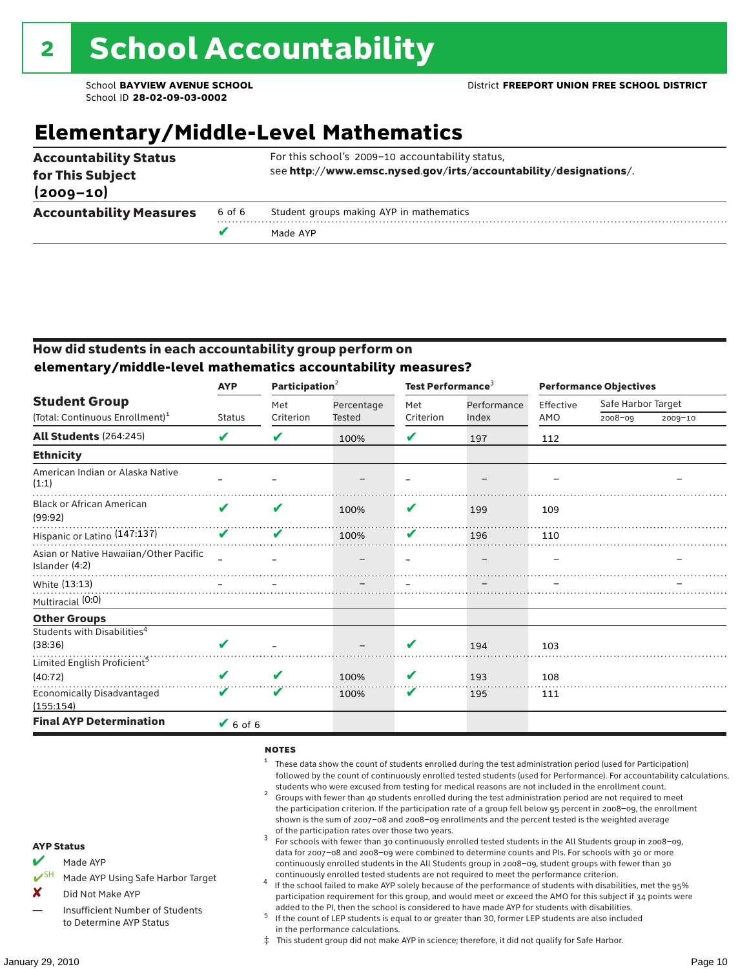# **Elementary/Middle-Level Mathematics**

| <b>Accountability Status</b><br>for This Subject<br>$(2009 - 10)$ |        | For this school's 2009-10 accountability status,<br>see http://www.emsc.nysed.gov/irts/accountability/designations/. |
|-------------------------------------------------------------------|--------|----------------------------------------------------------------------------------------------------------------------|
| <b>Accountability Measures</b>                                    | 6 of 6 | Student groups making AYP in mathematics                                                                             |
|                                                                   |        | Made AYP                                                                                                             |

### How did students in each accountability group perform on **elementary/middle-level mathematics accountability measures?**

|                                                          | <b>AYP</b>    | Participation <sup>2</sup> |            | Test Performance <sup>3</sup> |             | <b>Performance Objectives</b> |                    |             |  |
|----------------------------------------------------------|---------------|----------------------------|------------|-------------------------------|-------------|-------------------------------|--------------------|-------------|--|
| <b>Student Group</b>                                     |               | Met                        | Percentage | Met                           | Performance | Effective                     | Safe Harbor Target |             |  |
| (Total: Continuous Enrollment) <sup>1</sup>              | <b>Status</b> | Criterion                  | Tested     | Criterion                     | Index       | AMO                           | $2008 - 09$        | $2009 - 10$ |  |
| <b>All Students (264:245)</b>                            | V             | V                          | 100%       | V                             | 197         | 112                           |                    |             |  |
| <b>Ethnicity</b>                                         |               |                            |            |                               |             |                               |                    |             |  |
| American Indian or Alaska Native<br>(1:1)                |               |                            |            |                               |             |                               |                    |             |  |
| <b>Black or African American</b><br>(99:92)              | V             | V                          | 100%       | V                             | 199         | 109                           |                    |             |  |
| Hispanic or Latino (147:137)                             | V             | V                          | 100%       | V                             | 196         | 110                           |                    |             |  |
| Asian or Native Hawaiian/Other Pacific<br>Islander (4:2) |               |                            |            |                               |             |                               |                    |             |  |
| White (13:13)                                            |               |                            |            |                               |             |                               |                    |             |  |
| Multiracial (0:0)                                        |               |                            |            |                               |             |                               |                    |             |  |
| <b>Other Groups</b>                                      |               |                            |            |                               |             |                               |                    |             |  |
| Students with Disabilities <sup>4</sup><br>(38:36)       | ✔             |                            |            | V                             | 194         | 103                           |                    |             |  |
| Limited English Proficient <sup>5</sup>                  |               |                            |            |                               |             |                               |                    |             |  |
| (40:72)                                                  | V             | V                          | 100%       | V                             | 193         | 108                           |                    |             |  |
| <b>Economically Disadvantaged</b><br>(155:154)           | V             | V                          | 100%       | V                             | 195         | 111                           |                    |             |  |
| <b>Final AYP Determination</b>                           | $V$ 6 of 6    |                            |            |                               |             |                               |                    |             |  |

#### **NOTES**

- <sup>1</sup> These data show the count of students enrolled during the test administration period (used for Participation) followed by the count of continuously enrolled tested students (used for Performance). For accountability calculations,
- students who were excused from testing for medical reasons are not included in the enrollment count.<br><sup>2</sup> Groups with fewer than 40 students enrolled during the test administration period are not required to meet the participation criterion. If the participation rate of a group fell below 95 percent in 2008–09, the enrollment shown is the sum of 2007–08 and 2008–09 enrollments and the percent tested is the weighted average
- of the participation rates over those two years.<br><sup>3</sup> For schools with fewer than 30 continuously enrolled tested students in the All Students group in 2008–09, data for 2007–08 and 2008–09 were combined to determine counts and PIs. For schools with 30 or more continuously enrolled students in the All Students group in 2008–09, student groups with fewer than 30
- continuously enrolled tested students are not required to meet the performance criterion. <sup>4</sup> If the school failed to make AYP solely because of the performance of students with disabilities, met the 95% participation requirement for this group, and would meet or exceed the AMO for this subject if 34 points were added to the PI, then the school is considered to have made AYP for students with disabilities.
- $5$  If the count of LEP students is equal to or greater than 30, former LEP students are also included in the performance calculations.
- ‡ This student group did not make AYP in science; therefore, it did not qualify for Safe Harbor.
- Made AYP
	- Made AYP Using Safe Harbor Target
- X Did Not Make AYP
- Insufficient Number of Students to Determine AYP Status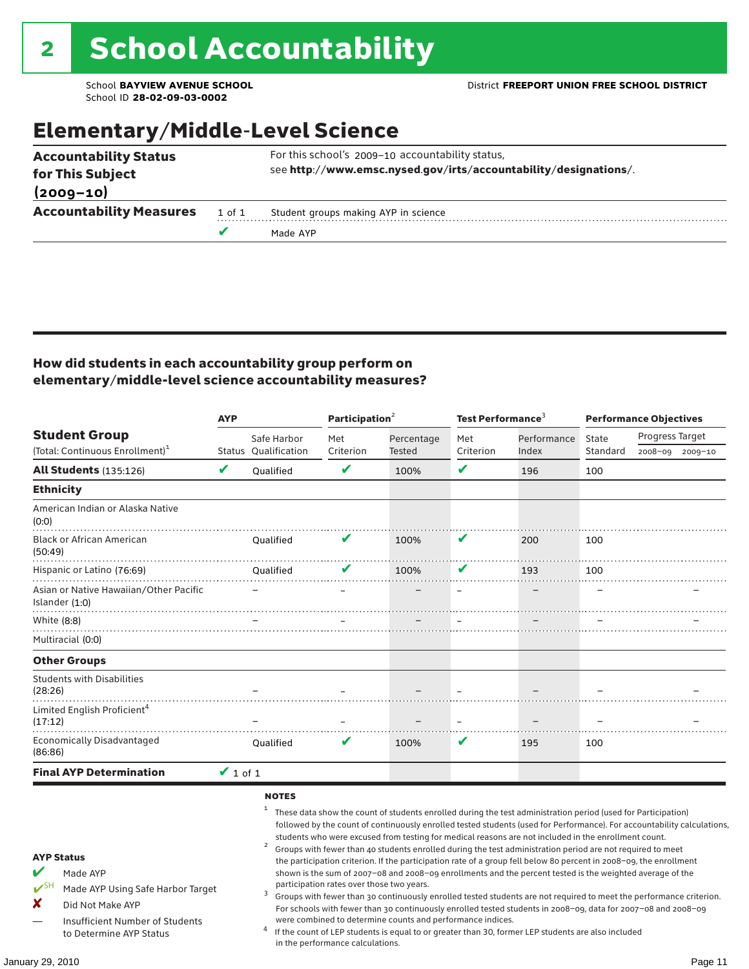### Elementary/Middle-Level Science

|                                |        | Made AYP                                                         |
|--------------------------------|--------|------------------------------------------------------------------|
| <b>Accountability Measures</b> | 1 of 1 | Student groups making AYP in science                             |
| $(2009 - 10)$                  |        |                                                                  |
| for This Subject               |        | see http://www.emsc.nysed.gov/irts/accountability/designations/. |
| <b>Accountability Status</b>   |        | For this school's 2009-10 accountability status,                 |

### How did students in each accountability group perform on elementary/middle-level science accountability measures?

|                                                                                                                                                                                   | <b>AYP</b>    |                                                              | Participation <sup>2</sup>                                                    |                                                            | Test Performance $^3$ |                                                                                                                                                                                                                                                                                                                                                                                                                                                                                                                                                                                                                                                                                                                                                                                                                                                                                                                                                                                                                                                 | <b>Performance Objectives</b> |                 |                 |
|-----------------------------------------------------------------------------------------------------------------------------------------------------------------------------------|---------------|--------------------------------------------------------------|-------------------------------------------------------------------------------|------------------------------------------------------------|-----------------------|-------------------------------------------------------------------------------------------------------------------------------------------------------------------------------------------------------------------------------------------------------------------------------------------------------------------------------------------------------------------------------------------------------------------------------------------------------------------------------------------------------------------------------------------------------------------------------------------------------------------------------------------------------------------------------------------------------------------------------------------------------------------------------------------------------------------------------------------------------------------------------------------------------------------------------------------------------------------------------------------------------------------------------------------------|-------------------------------|-----------------|-----------------|
| <b>Student Group</b>                                                                                                                                                              |               | Safe Harbor                                                  | Met                                                                           | Percentage                                                 | Met                   | Performance                                                                                                                                                                                                                                                                                                                                                                                                                                                                                                                                                                                                                                                                                                                                                                                                                                                                                                                                                                                                                                     | State                         | Progress Target |                 |
| (Total: Continuous Enrollment) <sup>1</sup>                                                                                                                                       | V             | Status Qualification                                         | Criterion<br>V                                                                | Tested                                                     | Criterion<br>V        | Index                                                                                                                                                                                                                                                                                                                                                                                                                                                                                                                                                                                                                                                                                                                                                                                                                                                                                                                                                                                                                                           | Standard                      |                 | 2008-09 2009-10 |
| <b>All Students (135:126)</b>                                                                                                                                                     |               | Oualified                                                    |                                                                               | 100%                                                       |                       | 196                                                                                                                                                                                                                                                                                                                                                                                                                                                                                                                                                                                                                                                                                                                                                                                                                                                                                                                                                                                                                                             | 100                           |                 |                 |
| <b>Ethnicity</b>                                                                                                                                                                  |               |                                                              |                                                                               |                                                            |                       |                                                                                                                                                                                                                                                                                                                                                                                                                                                                                                                                                                                                                                                                                                                                                                                                                                                                                                                                                                                                                                                 |                               |                 |                 |
| American Indian or Alaska Native<br>(0:0)                                                                                                                                         |               |                                                              |                                                                               |                                                            |                       |                                                                                                                                                                                                                                                                                                                                                                                                                                                                                                                                                                                                                                                                                                                                                                                                                                                                                                                                                                                                                                                 |                               |                 |                 |
| <b>Black or African American</b><br>(50:49)                                                                                                                                       |               | Oualified                                                    |                                                                               | 100%                                                       | v                     | 200                                                                                                                                                                                                                                                                                                                                                                                                                                                                                                                                                                                                                                                                                                                                                                                                                                                                                                                                                                                                                                             | 100                           |                 |                 |
| Hispanic or Latino (76:69)                                                                                                                                                        | .             | Oualified                                                    |                                                                               | 100%                                                       | ✔                     | 193                                                                                                                                                                                                                                                                                                                                                                                                                                                                                                                                                                                                                                                                                                                                                                                                                                                                                                                                                                                                                                             | 100                           |                 |                 |
| Asian or Native Hawaiian/Other Pacific<br>Islander (1:0)                                                                                                                          |               |                                                              |                                                                               |                                                            |                       |                                                                                                                                                                                                                                                                                                                                                                                                                                                                                                                                                                                                                                                                                                                                                                                                                                                                                                                                                                                                                                                 |                               |                 |                 |
| White (8:8)                                                                                                                                                                       |               |                                                              |                                                                               |                                                            |                       |                                                                                                                                                                                                                                                                                                                                                                                                                                                                                                                                                                                                                                                                                                                                                                                                                                                                                                                                                                                                                                                 |                               |                 |                 |
| Multiracial (0:0)                                                                                                                                                                 |               |                                                              |                                                                               |                                                            |                       |                                                                                                                                                                                                                                                                                                                                                                                                                                                                                                                                                                                                                                                                                                                                                                                                                                                                                                                                                                                                                                                 |                               |                 |                 |
| <b>Other Groups</b>                                                                                                                                                               |               |                                                              |                                                                               |                                                            |                       |                                                                                                                                                                                                                                                                                                                                                                                                                                                                                                                                                                                                                                                                                                                                                                                                                                                                                                                                                                                                                                                 |                               |                 |                 |
| <b>Students with Disabilities</b><br>(28:26)                                                                                                                                      |               |                                                              |                                                                               |                                                            |                       |                                                                                                                                                                                                                                                                                                                                                                                                                                                                                                                                                                                                                                                                                                                                                                                                                                                                                                                                                                                                                                                 |                               |                 |                 |
| Limited English Proficient <sup>4</sup><br>(17:12)                                                                                                                                |               |                                                              |                                                                               |                                                            |                       |                                                                                                                                                                                                                                                                                                                                                                                                                                                                                                                                                                                                                                                                                                                                                                                                                                                                                                                                                                                                                                                 |                               |                 |                 |
| <b>Economically Disadvantaged</b><br>(86:86)                                                                                                                                      |               | Oualified                                                    | V                                                                             | 100%                                                       | V                     | 195                                                                                                                                                                                                                                                                                                                                                                                                                                                                                                                                                                                                                                                                                                                                                                                                                                                                                                                                                                                                                                             | 100                           |                 |                 |
| <b>Final AYP Determination</b>                                                                                                                                                    | $\vee$ 1 of 1 |                                                              |                                                                               |                                                            |                       |                                                                                                                                                                                                                                                                                                                                                                                                                                                                                                                                                                                                                                                                                                                                                                                                                                                                                                                                                                                                                                                 |                               |                 |                 |
| <b>AYP Status</b><br>V<br>Made AYP<br>$V^{\text{SH}}$<br>Made AYP Using Safe Harbor Target<br>x<br>Did Not Make AYP<br>Insufficient Number of Students<br>to Determine AYP Status |               | <b>NOTES</b><br>$\mathbf{1}$<br>$\overline{\mathbf{c}}$<br>3 | participation rates over those two years.<br>in the performance calculations. | were combined to determine counts and performance indices. |                       | These data show the count of students enrolled during the test administration period (used for Participation)<br>followed by the count of continuously enrolled tested students (used for Performance). For accountability calculations,<br>students who were excused from testing for medical reasons are not included in the enrollment count.<br>Groups with fewer than 40 students enrolled during the test administration period are not required to meet<br>the participation criterion. If the participation rate of a group fell below 80 percent in 2008-09, the enrollment<br>shown is the sum of 2007-08 and 2008-09 enrollments and the percent tested is the weighted average of the<br>Groups with fewer than 30 continuously enrolled tested students are not required to meet the performance criterion.<br>For schools with fewer than 30 continuously enrolled tested students in 2008-09, data for 2007-08 and 2008-09<br>If the count of LEP students is equal to or greater than 30, former LEP students are also included |                               |                 |                 |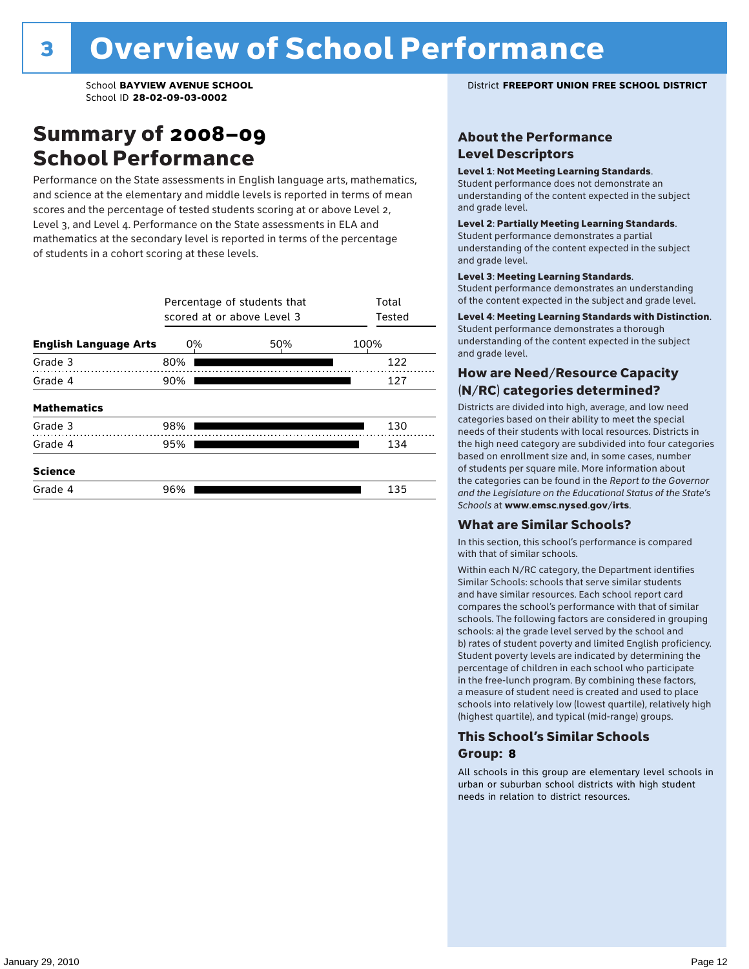### Summary of 2008–09 School Performance

Performance on the State assessments in English language arts, mathematics, and science at the elementary and middle levels is reported in terms of mean scores and the percentage of tested students scoring at or above Level 2, Level 3, and Level 4. Performance on the State assessments in ELA and mathematics at the secondary level is reported in terms of the percentage of students in a cohort scoring at these levels.

|                              |     | Percentage of students that<br>scored at or above Level 3 |      |  |  |  |  |  |  |  |
|------------------------------|-----|-----------------------------------------------------------|------|--|--|--|--|--|--|--|
| <b>English Language Arts</b> | 0%  | 50%                                                       | 100% |  |  |  |  |  |  |  |
| Grade 3                      | 80% |                                                           | 122  |  |  |  |  |  |  |  |
| Grade 4                      | 90% |                                                           | 127  |  |  |  |  |  |  |  |
| <b>Mathematics</b>           |     |                                                           |      |  |  |  |  |  |  |  |
| Grade 3                      | 98% |                                                           | 130  |  |  |  |  |  |  |  |
| Grade 4                      | 95% |                                                           | 134  |  |  |  |  |  |  |  |
| <b>Science</b>               |     |                                                           |      |  |  |  |  |  |  |  |
| Grade 4                      | 96% |                                                           | 135  |  |  |  |  |  |  |  |

#### School **BAYVIEW AVENUE SCHOOL** District **FREEPORT UNION FREE SCHOOL DISTRICT**

### About the Performance Level Descriptors

#### Level 1: Not Meeting Learning Standards.

Student performance does not demonstrate an understanding of the content expected in the subject and grade level.

#### Level 2: Partially Meeting Learning Standards.

Student performance demonstrates a partial understanding of the content expected in the subject and grade level.

#### Level 3: Meeting Learning Standards.

Student performance demonstrates an understanding of the content expected in the subject and grade level.

#### Level 4: Meeting Learning Standards with Distinction.

Student performance demonstrates a thorough understanding of the content expected in the subject and grade level.

### How are Need/Resource Capacity (N/RC) categories determined?

Districts are divided into high, average, and low need categories based on their ability to meet the special needs of their students with local resources. Districts in the high need category are subdivided into four categories based on enrollment size and, in some cases, number of students per square mile. More information about the categories can be found in the *Report to the Governor and the Legislature on the Educational Status of the State's Schools* at www.emsc.nysed.gov/irts.

#### What are Similar Schools?

In this section, this school's performance is compared with that of similar schools.

Within each N/RC category, the Department identifies Similar Schools: schools that serve similar students and have similar resources. Each school report card compares the school's performance with that of similar schools. The following factors are considered in grouping schools: a) the grade level served by the school and b) rates of student poverty and limited English proficiency. Student poverty levels are indicated by determining the percentage of children in each school who participate in the free-lunch program. By combining these factors, a measure of student need is created and used to place schools into relatively low (lowest quartile), relatively high (highest quartile), and typical (mid-range) groups.

### This School's Similar Schools Group: **8**

All schools in this group are elementary level schools in urban or suburban school districts with high student needs in relation to district resources.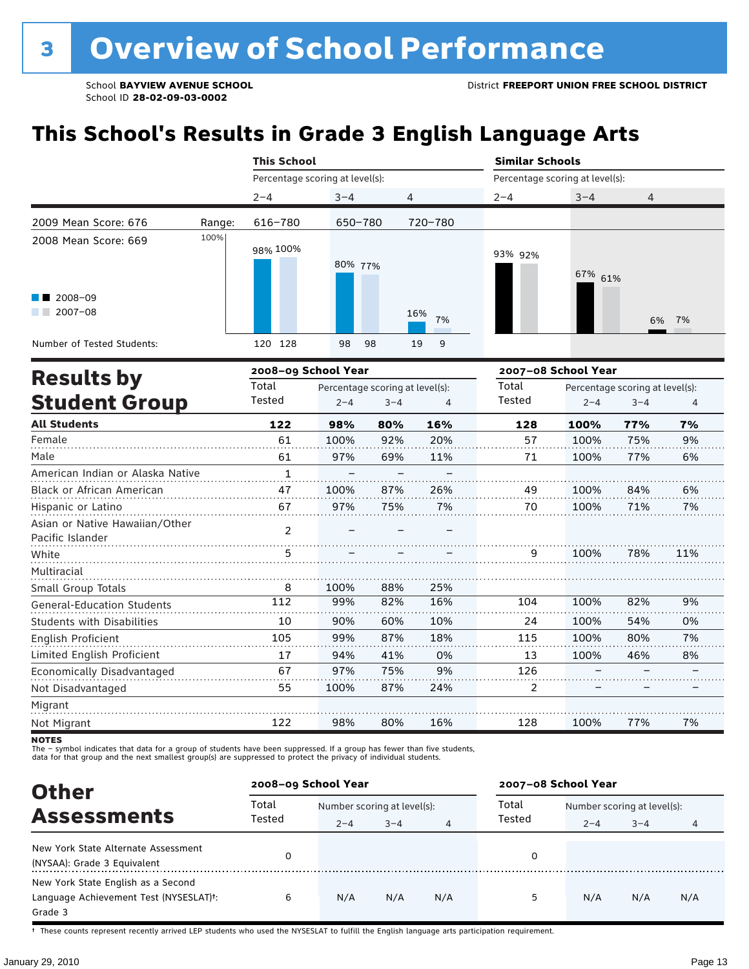# **This School's Results in Grade 3 English Language Arts**

|                                                                                         |        | <b>This School</b>              |               |         |                                 | <b>Similar Schools</b>               |         |                                 |       |  |  |
|-----------------------------------------------------------------------------------------|--------|---------------------------------|---------------|---------|---------------------------------|--------------------------------------|---------|---------------------------------|-------|--|--|
|                                                                                         |        | Percentage scoring at level(s): |               |         |                                 | Percentage scoring at level(s):      |         |                                 |       |  |  |
|                                                                                         |        | $2 - 4$                         | $3 - 4$       |         | 4                               | $2 - 4$<br>$3 - 4$<br>$\overline{4}$ |         |                                 |       |  |  |
| 2009 Mean Score: 676                                                                    | Range: | 616-780                         | 650-780       |         | 720-780                         |                                      |         |                                 |       |  |  |
| 2008 Mean Score: 669<br>2008-09<br>a sa na<br>$2007 - 08$<br>Number of Tested Students: | 100%   | 98% 100%<br>120 128             | 80% 77%<br>98 | 98      | 16%<br>7%<br>19<br>9            | 93% 92%                              | 67% 61% |                                 | 6% 7% |  |  |
|                                                                                         |        | 2008-09 School Year             |               |         |                                 | 2007-08 School Year                  |         |                                 |       |  |  |
| <b>Results by</b>                                                                       |        | Total                           |               |         | Percentage scoring at level(s): | Total                                |         | Percentage scoring at level(s): |       |  |  |
| <b>Student Group</b>                                                                    |        | Tested                          | $2 - 4$       | $3 - 4$ | 4                               | Tested                               | $2 - 4$ | $3 - 4$                         | 4     |  |  |
| <b>All Students</b>                                                                     |        | 122                             | 98%           | 80%     | 16%                             | 128                                  | 100%    | 77%                             | 7%    |  |  |
| Female                                                                                  |        | 61                              | 100%          | 92%     | 20%                             | 57                                   | 100%    | 75%                             | 9%    |  |  |
| Male                                                                                    |        | 61                              | 97%           | 69%     | 11%                             | 71                                   | 100%    | 77%                             | 6%    |  |  |

|                                                    |               |      |     |     |     |      | .   | . , . |
|----------------------------------------------------|---------------|------|-----|-----|-----|------|-----|-------|
| Female                                             | 61            | 100% | 92% | 20% | 57  | 100% | 75% | 9%    |
| Male                                               | 61            | 97%  | 69% | 11% | 71  | 100% | 77% | 6%    |
| American Indian or Alaska Native                   |               |      |     |     |     |      |     |       |
| Black or African American                          | 47            | 100% | 87% | 26% | 49  | 100% | 84% | 6%    |
| Hispanic or Latino                                 | 67            | 97%  | 75% | 7%  | 70  | 100% | 71% | 7%    |
| Asian or Native Hawaiian/Other<br>Pacific Islander | $\mathcal{P}$ |      |     |     |     |      |     |       |
| White                                              | 5             |      |     |     | 9   | 100% | 78% | 11%   |
| Multiracial                                        |               |      |     |     |     |      |     |       |
| Small Group Totals                                 | 8             | 100% | 88% | 25% |     |      |     |       |
| General-Education Students                         | 112           | 99%  | 82% | 16% | 104 | 100% | 82% | 9%    |
| <b>Students with Disabilities</b>                  | 10            | 90%  | 60% | 10% | 24  | 100% | 54% | 0%    |
| English Proficient                                 | 105           | 99%  | 87% | 18% | 115 | 100% | 80% | 7%    |
| Limited English Proficient                         | 17            | 94%  | 41% | 0%  | 13  | 100% | 46% | 8%    |
| Economically Disadvantaged                         | 67            | 97%  | 75% | 9%  | 126 |      |     |       |
| Not Disadvantaged                                  | 55            | 100% | 87% | 24% | 2   |      |     |       |
| Migrant                                            |               |      |     |     |     |      |     |       |
| Not Migrant                                        | 122           | 98%  | 80% | 16% | 128 | 100% | 77% | 7%    |

**NOTES** 

The – symbol indicates that data for a group of students have been suppressed. If a group has fewer than five students,<br>data for that group and the next smallest group(s) are suppressed to protect the privacy of individual

| <b>Other</b>                                                                            | 2008-09 School Year |                             |         |     | 2007-08 School Year |                             |         |     |  |
|-----------------------------------------------------------------------------------------|---------------------|-----------------------------|---------|-----|---------------------|-----------------------------|---------|-----|--|
|                                                                                         | Total<br>Tested     | Number scoring at level(s): |         |     | Total               | Number scoring at level(s): |         |     |  |
| <b>Assessments</b>                                                                      |                     | $2 - 4$                     | $3 - 4$ | 4   | Tested              | $2 - 4$                     | $3 - 4$ | 4   |  |
| New York State Alternate Assessment<br>(NYSAA): Grade 3 Equivalent                      |                     |                             |         |     | 0                   |                             |         |     |  |
| New York State English as a Second<br>Language Achievement Test (NYSESLAT)t:<br>Grade 3 | 6                   | N/A                         | N/A     | N/A | 5                   | N/A                         | N/A     | N/A |  |

† These counts represent recently arrived LEP students who used the NYSESLAT to fulfill the English language arts participation requirement.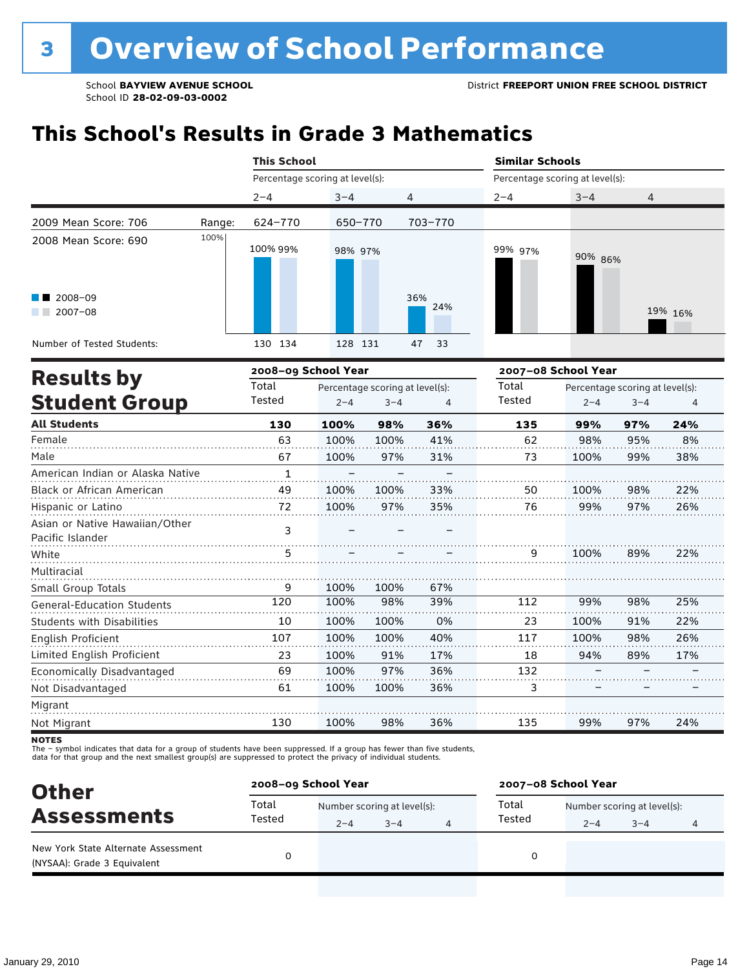# **This School's Results in Grade 3 Mathematics**

|                                  |        | <b>This School</b>              |         |                                 |            | <b>Similar Schools</b> |                     |                                                 |         |  |
|----------------------------------|--------|---------------------------------|---------|---------------------------------|------------|------------------------|---------------------|-------------------------------------------------|---------|--|
|                                  |        | Percentage scoring at level(s): |         |                                 |            |                        |                     | Percentage scoring at level(s):<br>$3 - 4$<br>4 |         |  |
|                                  |        | $2 - 4$                         | $3 - 4$ | 4                               |            | $2 - 4$                |                     |                                                 |         |  |
| 2009 Mean Score: 706             | Range: | 624-770                         | 650-770 |                                 | 703-770    |                        |                     |                                                 |         |  |
| 2008 Mean Score: 690             | 100%   | 100% 99%                        | 98% 97% |                                 |            | 99% 97%                | 90% 86%             |                                                 |         |  |
| 2008-09<br>$2007 - 08$           |        |                                 |         |                                 | 36%<br>24% |                        |                     |                                                 | 19% 16% |  |
| Number of Tested Students:       |        | 130 134                         | 128 131 |                                 | 47<br>33   |                        |                     |                                                 |         |  |
|                                  |        | 2008-09 School Year             |         |                                 |            |                        | 2007-08 School Year |                                                 |         |  |
| <b>Results by</b>                |        | Total                           |         | Percentage scoring at level(s): |            | Total                  |                     | Percentage scoring at level(s):                 |         |  |
| <b>Student Group</b>             |        | Tested                          | $2 - 4$ | $3 - 4$                         | 4          | Tested                 | $2 - 4$             | $3 - 4$                                         | 4       |  |
| <b>All Students</b>              |        | 130                             | 100%    | 98%                             | 36%        | 135                    | 99%                 | 97%                                             | 24%     |  |
| Female                           |        | 63                              | 100%    | 100%                            | 41%        | 62                     | 98%                 | 95%                                             | 8%      |  |
| Male                             |        | 67                              | 100%    | 97%                             | 31%        | 73                     | 100%                | 99%                                             | 38%     |  |
| American Indian or Alaska Native |        | $\mathbf{1}$                    |         |                                 |            |                        |                     |                                                 |         |  |
| Black or African American        |        | 49                              | 100%    | 100%                            | 33%        | 50                     | 100%                | 98%                                             | 22%     |  |
| Hispanic or Latino               |        | 72                              | 100%    | 97%                             | 35%        | 76                     | 99%                 | 97%                                             | 26%     |  |
| Asian or Native Hawaiian/Other   |        | ີ                               |         |                                 |            |                        |                     |                                                 |         |  |

| Asian or Native Hawaiian/Other<br>Pacific Islander |     |      |      |     |     |      |     |     |
|----------------------------------------------------|-----|------|------|-----|-----|------|-----|-----|
| White                                              | 5   |      |      |     | q   | 100% | 89% | 22% |
| Multiracial                                        |     |      |      |     |     |      |     |     |
| Small Group Totals                                 | 9   | 100% | 100% | 67% |     |      |     |     |
| <b>General-Education Students</b>                  | 120 | 100% | 98%  | 39% | 112 | 99%  | 98% | 25% |
| <b>Students with Disabilities</b>                  | 10  | 100% | 100% | 0%  | 23  | 100% | 91% | 22% |
| English Proficient                                 | 107 | 100% | 100% | 40% | 117 | 100% | 98% | 26% |
| Limited English Proficient                         | 23  | 100% | 91%  | 17% | 18  | 94%  | 89% | 17% |
| Economically Disadvantaged                         | 69  | 100% | 97%  | 36% | 132 |      |     |     |
| Not Disadvantaged                                  | 61  | 100% | 100% | 36% |     |      |     |     |
| Migrant                                            |     |      |      |     |     |      |     |     |
| Not Migrant                                        | 130 | 100% | 98%  | 36% | 135 | 99%  | 97% | 24% |

**NOTES** 

The – symbol indicates that data for a group of students have been suppressed. If a group has fewer than five students,<br>data for that group and the next smallest group(s) are suppressed to protect the privacy of individual

| <b>Other</b>                                                       | 2008-09 School Year |                             |         | 2007-08 School Year |                             |         |   |  |
|--------------------------------------------------------------------|---------------------|-----------------------------|---------|---------------------|-----------------------------|---------|---|--|
| <b>Assessments</b>                                                 | Total               | Number scoring at level(s): |         | Total               | Number scoring at level(s): |         |   |  |
|                                                                    | Tested              | $2 - 4$                     | $3 - 4$ | Tested              | $2 - 4$                     | $3 - 4$ | 4 |  |
| New York State Alternate Assessment<br>(NYSAA): Grade 3 Equivalent |                     |                             |         | 0                   |                             |         |   |  |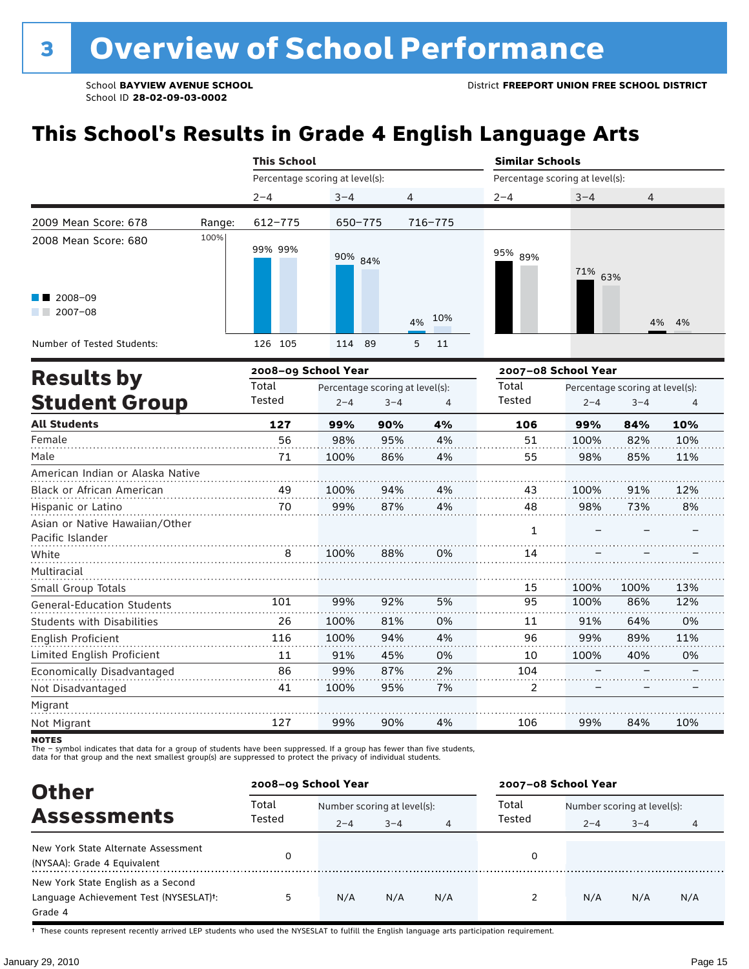# **This School's Results in Grade 4 English Language Arts**

|                                                    |        |         | <b>This School</b> |                                 |                                 |    |         | <b>Similar Schools</b>          |                   |                                 |       |
|----------------------------------------------------|--------|---------|--------------------|---------------------------------|---------------------------------|----|---------|---------------------------------|-------------------|---------------------------------|-------|
|                                                    |        |         |                    | Percentage scoring at level(s): |                                 |    |         | Percentage scoring at level(s): |                   |                                 |       |
|                                                    |        | $2 - 4$ |                    | $3 - 4$                         |                                 | 4  |         | $2 - 4$                         | $3 - 4$           | 4                               |       |
| 2009 Mean Score: 678                               | Range: |         | 612-775            |                                 | $650 - 775$                     |    | 716-775 |                                 |                   |                                 |       |
| 2008 Mean Score: 680                               | 100%   |         | 99% 99%            |                                 | 90% 84%                         |    |         | 95% 89%                         | 71%               | 63%                             |       |
| 2008-09<br>$2007 - 08$                             |        |         |                    |                                 |                                 | 4% | 10%     |                                 |                   |                                 | 4% 4% |
| Number of Tested Students:                         |        | 126 105 |                    | 114 89                          |                                 | 5  | 11      |                                 |                   |                                 |       |
| <b>Results by</b>                                  |        |         |                    | 2008-09 School Year             |                                 |    |         | 2007-08 School Year             |                   |                                 |       |
|                                                    |        | Total   |                    |                                 | Percentage scoring at level(s): |    |         | Total                           |                   | Percentage scoring at level(s): |       |
| <b>Student Group</b>                               |        | Tested  |                    | $2 - 4$                         | $3 - 4$                         |    | 4       | <b>Tested</b>                   | $2 - 4$           | $3 - 4$                         | 4     |
| <b>All Students</b>                                |        |         | 127                | 99%                             | 90%                             |    | 4%      | 106                             | 99%               | 84%                             | 10%   |
| Female                                             |        |         | 56                 | 98%                             | 95%                             |    | 4%      | 51                              | 100%              | 82%                             | 10%   |
| Male                                               |        |         | 71                 | 100%                            | 86%                             |    | 4%      | 55                              | 98%               | 85%                             | 11%   |
| American Indian or Alaska Native                   |        |         |                    |                                 |                                 |    |         |                                 |                   |                                 |       |
| <b>Black or African American</b>                   |        |         | 49                 | 100%                            | 94%                             |    | 4%      | 43                              | 100%              | 91%                             | 12%   |
| Hispanic or Latino                                 |        |         | 70                 | 99%                             | 87%                             |    | 4%      | 48                              | 98%               | 73%                             | 8%    |
| Asian or Native Hawaiian/Other<br>Pacific Islander |        |         |                    |                                 |                                 |    |         | $\mathbf{1}$                    |                   |                                 |       |
| White                                              |        |         | 8                  | 100%                            | 88%                             |    | 0%      | 14                              |                   |                                 |       |
| Multiracial                                        |        |         |                    |                                 |                                 |    |         |                                 |                   |                                 |       |
| Small Group Totals                                 |        |         |                    |                                 |                                 |    |         | 15                              | 100%              | 100%                            | 13%   |
| <b>General-Education Students</b>                  |        |         | 101                | 99%                             | 92%                             |    | 5%      | 95                              | 100%              | 86%                             | 12%   |
| <b>Students with Disabilities</b>                  |        |         | 26                 | 100%                            | 81%                             |    | 0%      | 11                              | 91%               | 64%                             | 0%    |
| English Proficient                                 |        |         | 116                | 100%                            | 94%                             |    | 4%      | 96                              | 99%               | 89%                             | 11%   |
| Limited English Proficient                         |        |         | 11                 | 91%                             | 45%                             |    | 0%      | 10                              | 100%              | 40%                             | 0%    |
| Economically Disadvantaged                         |        |         | 86                 | 99%                             | 87%                             |    | 2%      | 104                             | $\qquad \qquad -$ |                                 |       |

Migrant Not Migrant 127 99% 90% 4% 106 99% 84% 10%

95%

7%

2

–

–

–

100%

Not Disadvantaged

The – symbol indicates that data for a group of students have been suppressed. If a group has fewer than five students,<br>data for that group and the next smallest group(s) are suppressed to protect the privacy of individual

41

| <b>Other</b>                                                                                         |                 | 2008-09 School Year         |         |     | 2007-08 School Year |                             |         |     |
|------------------------------------------------------------------------------------------------------|-----------------|-----------------------------|---------|-----|---------------------|-----------------------------|---------|-----|
| <b>Assessments</b>                                                                                   | Total<br>Tested | Number scoring at level(s): |         |     | Total               | Number scoring at level(s): |         |     |
|                                                                                                      |                 | $2 - 4$                     | $3 - 4$ | 4   | Tested              | $2 - 4$                     | $3 - 4$ | 4   |
| New York State Alternate Assessment<br>(NYSAA): Grade 4 Equivalent                                   |                 |                             |         |     | 0                   |                             |         |     |
| New York State English as a Second<br>Language Achievement Test (NYSESLAT) <sup>+</sup> :<br>Grade 4 | 5               | N/A                         | N/A     | N/A |                     | N/A                         | N/A     | N/A |

† These counts represent recently arrived LEP students who used the NYSESLAT to fulfill the English language arts participation requirement.

**NOTES**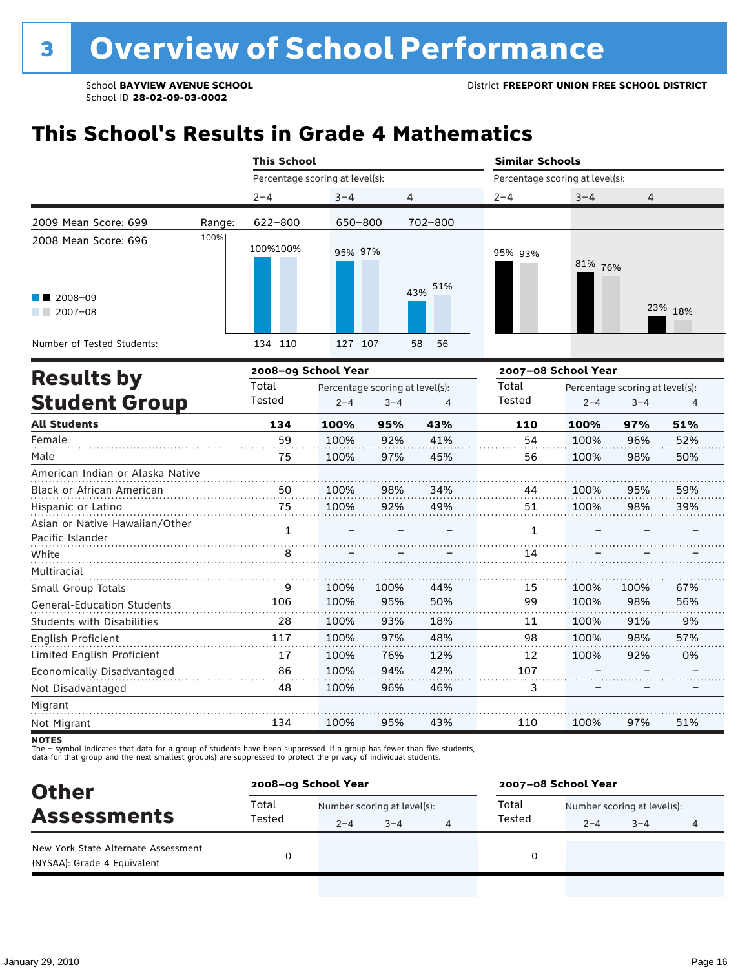# **This School's Results in Grade 4 Mathematics**

|                                                    |        | <b>This School</b>                       |         |         |                | <b>Similar Schools</b>          |                                 |                |         |  |
|----------------------------------------------------|--------|------------------------------------------|---------|---------|----------------|---------------------------------|---------------------------------|----------------|---------|--|
|                                                    |        | Percentage scoring at level(s):          |         |         |                | Percentage scoring at level(s): |                                 |                |         |  |
|                                                    |        | $2 - 4$                                  | $3 - 4$ |         | 4              | $2 - 4$                         | $3 - 4$                         | $\overline{4}$ |         |  |
| 2009 Mean Score: 699                               | Range: | 622-800                                  | 650-800 |         | 702-800        |                                 |                                 |                |         |  |
| 2008 Mean Score: 696                               | 100%   | 100%100%                                 | 95% 97% |         |                | 95% 93%                         | 81% 76%                         |                |         |  |
| 2008-09<br>$2007 - 08$                             |        |                                          |         |         | 51%<br>43%     |                                 |                                 |                | 23% 18% |  |
| Number of Tested Students:                         |        | 134 110                                  | 127 107 |         | 58<br>56       |                                 |                                 |                |         |  |
|                                                    |        | 2008-09 School Year                      |         |         |                |                                 | 2007-08 School Year             |                |         |  |
| <b>Results by</b>                                  |        | Total<br>Percentage scoring at level(s): |         |         |                | Total                           | Percentage scoring at level(s): |                |         |  |
| <b>Student Group</b>                               |        | Tested                                   | $2 - 4$ | $3 - 4$ | $\overline{4}$ | Tested                          | $2 - 4$                         | $3 - 4$        | 4       |  |
| <b>All Students</b>                                |        | 134                                      | 100%    | 95%     | 43%            | 110                             | 100%                            | 97%            | 51%     |  |
| Female                                             |        | 59                                       | 100%    | 92%     | 41%            | 54                              | 100%                            | 96%            | 52%     |  |
| Male                                               |        | 75                                       | 100%    | 97%     | 45%            | 56                              | 100%                            | 98%            | 50%     |  |
| American Indian or Alaska Native                   |        |                                          |         |         |                |                                 |                                 |                |         |  |
| Black or African American                          |        | 50                                       | 100%    | 98%     | 34%            | 44                              | 100%                            | 95%            | 59%     |  |
| Hispanic or Latino                                 |        | 75                                       | 100%    | 92%     | 49%            | 51                              | 100%                            | 98%            | 39%     |  |
| Asian or Native Hawaiian/Other<br>Pacific Islander |        | $\mathbf{1}$                             |         |         |                | $\mathbf{1}$                    |                                 |                |         |  |
| White                                              |        | 8                                        |         |         |                | 14                              |                                 |                |         |  |
| Multiracial                                        |        |                                          |         |         |                |                                 |                                 |                |         |  |
| Small Group Totals                                 |        | 9                                        | 100%    | 100%    | 44%            | 15                              | 100%                            | 100%           | 67%     |  |
| <b>General-Education Students</b>                  |        | 106                                      | 100%    | 95%     | 50%            | 99                              | 100%                            | 98%            | 56%     |  |
| <b>Students with Disabilities</b>                  |        | 28                                       | 100%    | 93%     | 18%            | 11                              | 100%                            | 91%            | 9%      |  |
| English Proficient                                 |        | 117                                      | 100%    | 97%     | 48%            | 98                              | 100%                            | 98%            | 57%     |  |
| Limited English Proficient                         |        | 17                                       | 100%    | 76%     | 12%            | 12                              | 100%                            | 92%            | 0%      |  |
| Economically Disadvantaged                         |        | 86                                       | 100%    | 94%     | 42%            | 107                             |                                 |                |         |  |
| Not Disadvantaged                                  |        | 48                                       | 100%    | 96%     | 46%            | 3                               |                                 |                |         |  |
| Migrant                                            |        |                                          |         |         |                |                                 |                                 |                |         |  |
| Not Migrant                                        |        | 134                                      | 100%    | 95%     | 43%            | 110                             | 100%                            | 97%            | 51%     |  |

**NOTES** 

The – symbol indicates that data for a group of students have been suppressed. If a group has fewer than five students,<br>data for that group and the next smallest group(s) are suppressed to protect the privacy of individual

| <b>Other</b>                                                       | 2008-09 School Year |                             |         |   | 2007-08 School Year |                             |         |   |  |
|--------------------------------------------------------------------|---------------------|-----------------------------|---------|---|---------------------|-----------------------------|---------|---|--|
| <b>Assessments</b>                                                 | Total<br>Tested     | Number scoring at level(s): |         |   | Total               | Number scoring at level(s): |         |   |  |
|                                                                    |                     | $2 - 4$                     | $3 - 4$ | 4 | Tested              | $2 - 4$                     | $3 - 4$ | 4 |  |
| New York State Alternate Assessment<br>(NYSAA): Grade 4 Equivalent |                     |                             |         |   | 0                   |                             |         |   |  |